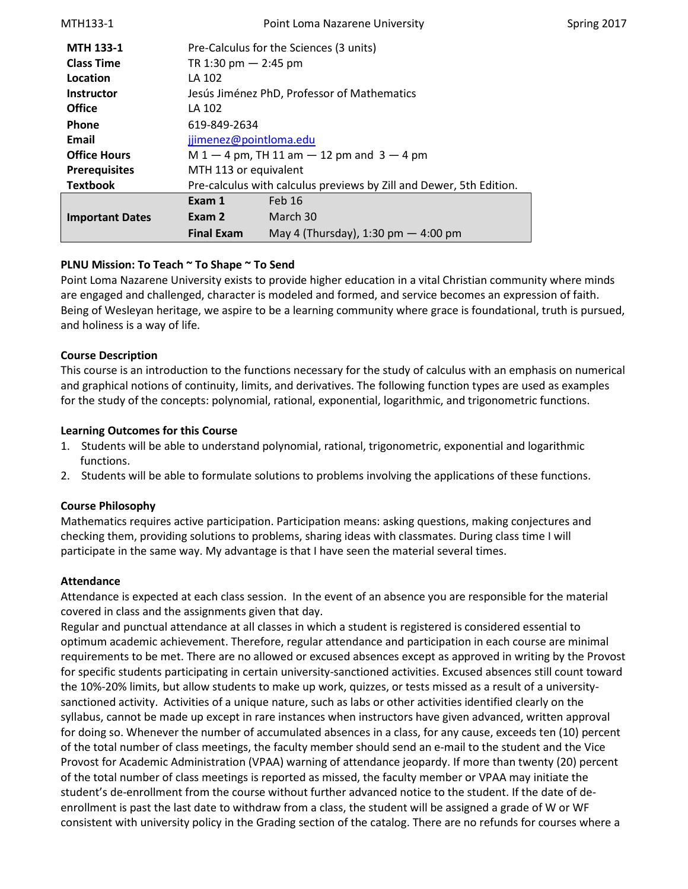| MTH133-1               | Point Loma Nazarene University<br>Spring 2017                       |                                       |  |  |
|------------------------|---------------------------------------------------------------------|---------------------------------------|--|--|
| <b>MTH 133-1</b>       | Pre-Calculus for the Sciences (3 units)                             |                                       |  |  |
| <b>Class Time</b>      | TR 1:30 pm $-$ 2:45 pm                                              |                                       |  |  |
| Location               | LA 102                                                              |                                       |  |  |
| <b>Instructor</b>      | Jesús Jiménez PhD, Professor of Mathematics                         |                                       |  |  |
| <b>Office</b>          | LA 102                                                              |                                       |  |  |
| <b>Phone</b>           | 619-849-2634                                                        |                                       |  |  |
| Email                  | jjimenez@pointloma.edu                                              |                                       |  |  |
| <b>Office Hours</b>    | $M 1 - 4$ pm, TH 11 am $- 12$ pm and 3 $- 4$ pm                     |                                       |  |  |
| <b>Prerequisites</b>   | MTH 113 or equivalent                                               |                                       |  |  |
| <b>Textbook</b>        | Pre-calculus with calculus previews by Zill and Dewer, 5th Edition. |                                       |  |  |
|                        | Exam 1                                                              | Feb <sub>16</sub>                     |  |  |
| <b>Important Dates</b> | Exam 2                                                              | March 30                              |  |  |
|                        | <b>Final Exam</b>                                                   | May 4 (Thursday), 1:30 pm $-$ 4:00 pm |  |  |

# **PLNU Mission: To Teach ~ To Shape ~ To Send**

Point Loma Nazarene University exists to provide higher education in a vital Christian community where minds are engaged and challenged, character is modeled and formed, and service becomes an expression of faith. Being of Wesleyan heritage, we aspire to be a learning community where grace is foundational, truth is pursued, and holiness is a way of life.

#### **Course Description**

This course is an introduction to the functions necessary for the study of calculus with an emphasis on numerical and graphical notions of continuity, limits, and derivatives. The following function types are used as examples for the study of the concepts: polynomial, rational, exponential, logarithmic, and trigonometric functions.

#### **Learning Outcomes for this Course**

- 1. Students will be able to understand polynomial, rational, trigonometric, exponential and logarithmic functions.
- 2. Students will be able to formulate solutions to problems involving the applications of these functions.

#### **Course Philosophy**

Mathematics requires active participation. Participation means: asking questions, making conjectures and checking them, providing solutions to problems, sharing ideas with classmates. During class time I will participate in the same way. My advantage is that I have seen the material several times.

#### **Attendance**

Attendance is expected at each class session. In the event of an absence you are responsible for the material covered in class and the assignments given that day.

Regular and punctual attendance at all classes in which a student is registered is considered essential to optimum academic achievement. Therefore, regular attendance and participation in each course are minimal requirements to be met. There are no allowed or excused absences except as approved in writing by the Provost for specific students participating in certain university-sanctioned activities. Excused absences still count toward the 10%-20% limits, but allow students to make up work, quizzes, or tests missed as a result of a universitysanctioned activity. Activities of a unique nature, such as labs or other activities identified clearly on the syllabus, cannot be made up except in rare instances when instructors have given advanced, written approval for doing so. Whenever the number of accumulated absences in a class, for any cause, exceeds ten (10) percent of the total number of class meetings, the faculty member should send an e-mail to the student and the Vice Provost for Academic Administration (VPAA) warning of attendance jeopardy. If more than twenty (20) percent of the total number of class meetings is reported as missed, the faculty member or VPAA may initiate the student's de-enrollment from the course without further advanced notice to the student. If the date of deenrollment is past the last date to withdraw from a class, the student will be assigned a grade of W or WF consistent with university policy in the Grading section of the catalog. There are no refunds for courses where a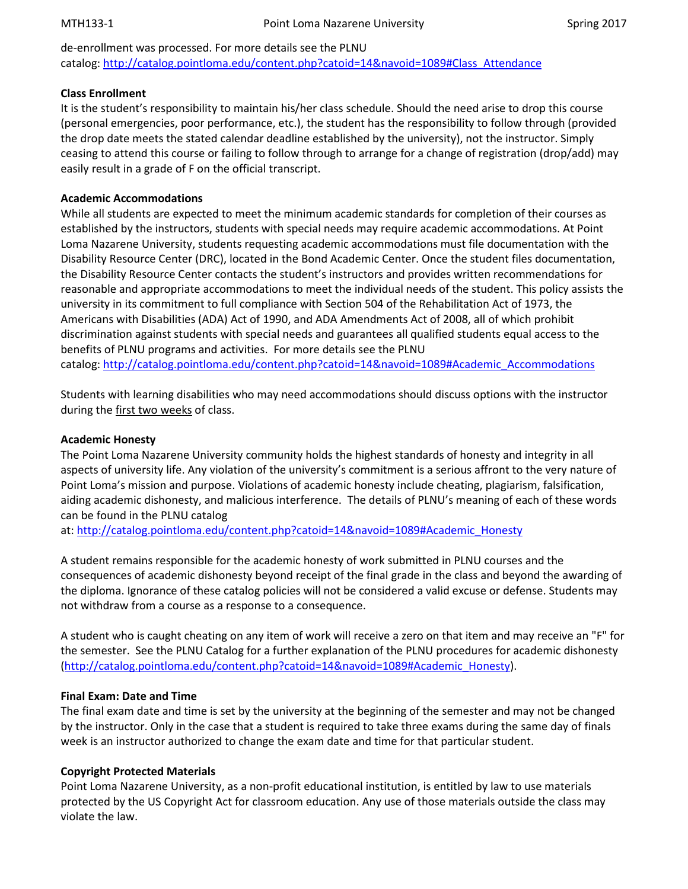de-enrollment was processed. For more details see the PLNU catalog: [http://catalog.pointloma.edu/content.php?catoid=14&navoid=1089#Class\\_Attendance](http://catalog.pointloma.edu/content.php?catoid=14&navoid=1089#Class_Attendance)

### **Class Enrollment**

It is the student's responsibility to maintain his/her class schedule. Should the need arise to drop this course (personal emergencies, poor performance, etc.), the student has the responsibility to follow through (provided the drop date meets the stated calendar deadline established by the university), not the instructor. Simply ceasing to attend this course or failing to follow through to arrange for a change of registration (drop/add) may easily result in a grade of F on the official transcript.

# **Academic Accommodations**

While all students are expected to meet the minimum academic standards for completion of their courses as established by the instructors, students with special needs may require academic accommodations. At Point Loma Nazarene University, students requesting academic accommodations must file documentation with the Disability Resource Center (DRC), located in the Bond Academic Center. Once the student files documentation, the Disability Resource Center contacts the student's instructors and provides written recommendations for reasonable and appropriate accommodations to meet the individual needs of the student. This policy assists the university in its commitment to full compliance with Section 504 of the Rehabilitation Act of 1973, the Americans with Disabilities (ADA) Act of 1990, and ADA Amendments Act of 2008, all of which prohibit discrimination against students with special needs and guarantees all qualified students equal access to the benefits of PLNU programs and activities. For more details see the PLNU catalog: [http://catalog.pointloma.edu/content.php?catoid=14&navoid=1089#Academic\\_Accommodations](http://catalog.pointloma.edu/content.php?catoid=14&navoid=1089#Academic_Accommodations)

Students with learning disabilities who may need accommodations should discuss options with the instructor during the first two weeks of class.

### **Academic Honesty**

The Point Loma Nazarene University community holds the highest standards of honesty and integrity in all aspects of university life. Any violation of the university's commitment is a serious affront to the very nature of Point Loma's mission and purpose. Violations of academic honesty include cheating, plagiarism, falsification, aiding academic dishonesty, and malicious interference. The details of PLNU's meaning of each of these words can be found in the PLNU catalog

at: [http://catalog.pointloma.edu/content.php?catoid=14&navoid=1089#Academic\\_Honesty](http://catalog.pointloma.edu/content.php?catoid=14&navoid=1089#Academic_Honesty)

A student remains responsible for the academic honesty of work submitted in PLNU courses and the consequences of academic dishonesty beyond receipt of the final grade in the class and beyond the awarding of the diploma. Ignorance of these catalog policies will not be considered a valid excuse or defense. Students may not withdraw from a course as a response to a consequence.

A student who is caught cheating on any item of work will receive a zero on that item and may receive an "F" for the semester. See the PLNU Catalog for a further explanation of the PLNU procedures for academic dishonesty [\(http://catalog.pointloma.edu/content.php?catoid=14&navoid=1089#Academic\\_Honesty\)](http://catalog.pointloma.edu/content.php?catoid=14&navoid=1089#Academic_Honesty).

# **Final Exam: Date and Time**

The final exam date and time is set by the university at the beginning of the semester and may not be changed by the instructor. Only in the case that a student is required to take three exams during the same day of finals week is an instructor authorized to change the exam date and time for that particular student.

# **Copyright Protected Materials**

Point Loma Nazarene University, as a non-profit educational institution, is entitled by law to use materials protected by the US Copyright Act for classroom education. Any use of those materials outside the class may violate the law.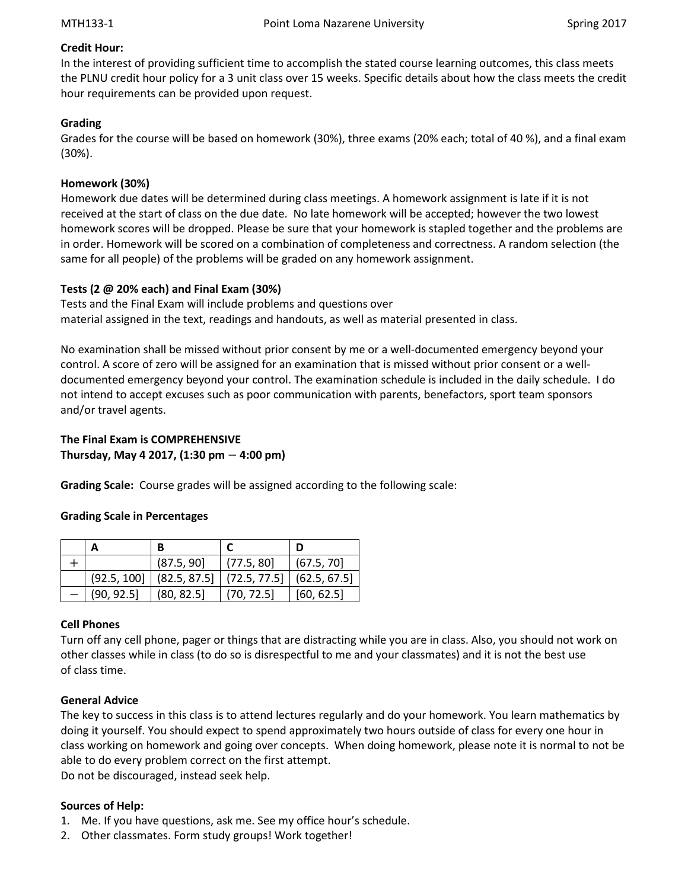### **Credit Hour:**

In the interest of providing sufficient time to accomplish the stated course learning outcomes, this class meets the PLNU credit hour policy for a 3 unit class over 15 weeks. Specific details about how the class meets the credit hour requirements can be provided upon request.

### **Grading**

Grades for the course will be based on homework (30%), three exams (20% each; total of 40 %), and a final exam (30%).

### **Homework (30%)**

Homework due dates will be determined during class meetings. A homework assignment is late if it is not received at the start of class on the due date. No late homework will be accepted; however the two lowest homework scores will be dropped. Please be sure that your homework is stapled together and the problems are in order. Homework will be scored on a combination of completeness and correctness. A random selection (the same for all people) of the problems will be graded on any homework assignment.

### **Tests (2 @ 20% each) and Final Exam (30%)**

Tests and the Final Exam will include problems and questions over material assigned in the text, readings and handouts, as well as material presented in class.

No examination shall be missed without prior consent by me or a well-documented emergency beyond your control. A score of zero will be assigned for an examination that is missed without prior consent or a welldocumented emergency beyond your control. The examination schedule is included in the daily schedule. I do not intend to accept excuses such as poor communication with parents, benefactors, sport team sponsors and/or travel agents.

### **The Final Exam is COMPREHENSIVE Thursday, May 4 2017, (1:30 pm** − **4:00 pm)**

**Grading Scale:** Course grades will be assigned according to the following scale:

#### **Grading Scale in Percentages**

|             | (87.5, 90)                  | (77.5, 80) | (67.5, 70]   |
|-------------|-----------------------------|------------|--------------|
| (92.5, 100] | $(82.5, 87.5]$ (72.5, 77.5) |            | (62.5, 67.5) |
| (90, 92.5)  | (80, 82.5)                  | (70, 72.5) | [60, 62.5]   |

#### **Cell Phones**

Turn off any cell phone, pager or things that are distracting while you are in class. Also, you should not work on other classes while in class (to do so is disrespectful to me and your classmates) and it is not the best use of class time.

#### **General Advice**

The key to success in this class is to attend lectures regularly and do your homework. You learn mathematics by doing it yourself. You should expect to spend approximately two hours outside of class for every one hour in class working on homework and going over concepts. When doing homework, please note it is normal to not be able to do every problem correct on the first attempt.

Do not be discouraged, instead seek help.

# **Sources of Help:**

- 1. Me. If you have questions, ask me. See my office hour's schedule.
- 2. Other classmates. Form study groups! Work together!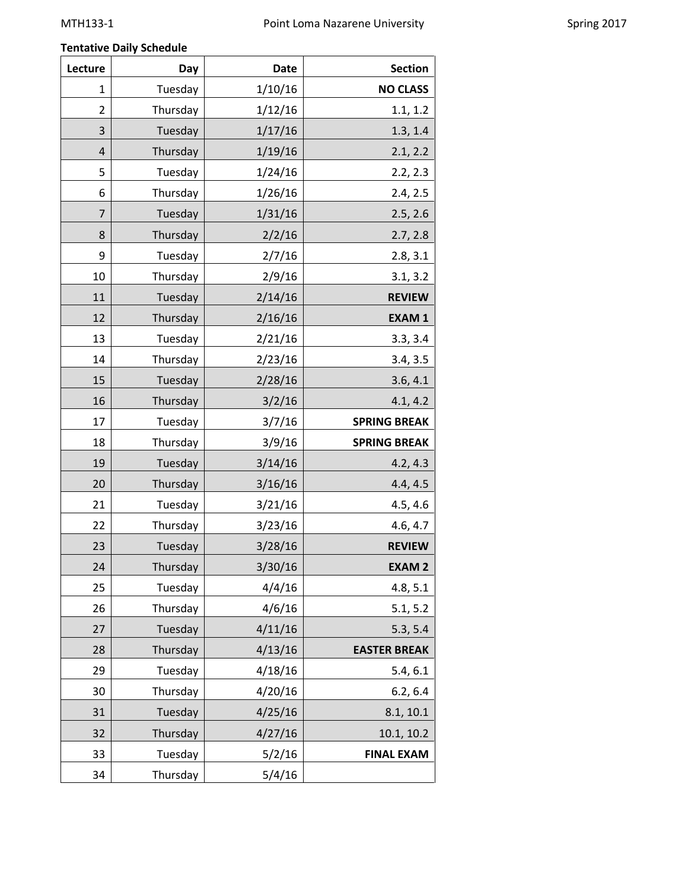# **Tentative Daily Schedule**

| Lecture        | Day      | <b>Date</b> | <b>Section</b>      |
|----------------|----------|-------------|---------------------|
| 1              | Tuesday  | 1/10/16     | <b>NO CLASS</b>     |
| 2              | Thursday | 1/12/16     | 1.1, 1.2            |
| 3              | Tuesday  | 1/17/16     | 1.3, 1.4            |
| 4              | Thursday | 1/19/16     | 2.1, 2.2            |
| 5              | Tuesday  | 1/24/16     | 2.2, 2.3            |
| 6              | Thursday | 1/26/16     | 2.4, 2.5            |
| $\overline{7}$ | Tuesday  | 1/31/16     | 2.5, 2.6            |
| 8              | Thursday | 2/2/16      | 2.7, 2.8            |
| 9              | Tuesday  | 2/7/16      | 2.8, 3.1            |
| 10             | Thursday | 2/9/16      | 3.1, 3.2            |
| 11             | Tuesday  | 2/14/16     | <b>REVIEW</b>       |
| 12             | Thursday | 2/16/16     | <b>EXAM1</b>        |
| 13             | Tuesday  | 2/21/16     | 3.3, 3.4            |
| 14             | Thursday | 2/23/16     | 3.4, 3.5            |
| 15             | Tuesday  | 2/28/16     | 3.6, 4.1            |
| 16             | Thursday | 3/2/16      | 4.1, 4.2            |
| 17             | Tuesday  | 3/7/16      | <b>SPRING BREAK</b> |
| 18             | Thursday | 3/9/16      | <b>SPRING BREAK</b> |
| 19             | Tuesday  | 3/14/16     | 4.2, 4.3            |
| 20             | Thursday | 3/16/16     | 4.4, 4.5            |
| 21             | Tuesday  | 3/21/16     | 4.5, 4.6            |
| 22             | Thursday | 3/23/16     | 4.6, 4.7            |
| 23             | Tuesday  | 3/28/16     | <b>REVIEW</b>       |
| 24             | Thursday | 3/30/16     | <b>EXAM2</b>        |
| 25             | Tuesday  | 4/4/16      | 4.8, 5.1            |
| 26             | Thursday | 4/6/16      | 5.1, 5.2            |
| 27             | Tuesday  | 4/11/16     | 5.3, 5.4            |
| 28             | Thursday | 4/13/16     | <b>EASTER BREAK</b> |
| 29             | Tuesday  | 4/18/16     | 5.4, 6.1            |
| 30             | Thursday | 4/20/16     | 6.2, 6.4            |
| 31             | Tuesday  | 4/25/16     | 8.1, 10.1           |
| 32             | Thursday | 4/27/16     | 10.1, 10.2          |
| 33             | Tuesday  | 5/2/16      | <b>FINAL EXAM</b>   |
| 34             | Thursday | 5/4/16      |                     |